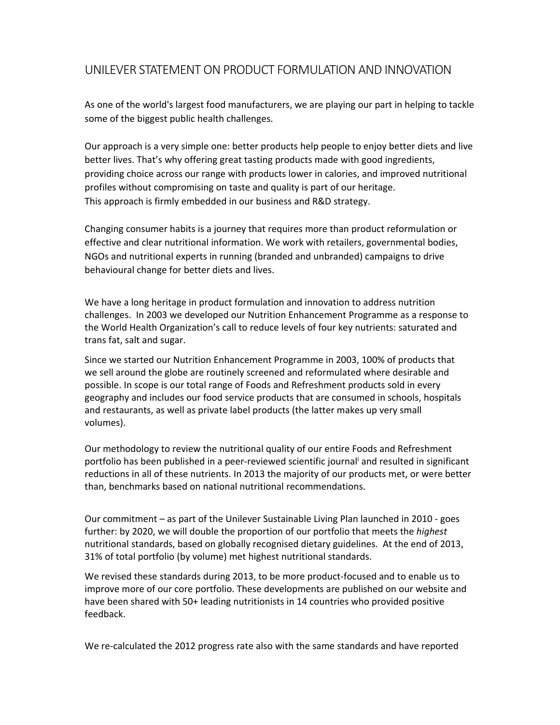## UNILEVER STATEMENT ON PRODUCT FORMULATION AND INNOVATION

As one of the world's largest food manufacturers, we are playing our part in helping to tackle some of the biggest public health challenges.

Our approach is a very simple one: better products help people to enjoy better diets and live better lives. That's why offering great tasting products made with good ingredients, providing choice across our range with products lower in calories, and improved nutritional profiles without compromising on taste and quality is part of our heritage. This approach is firmly embedded in our business and R&D strategy.

Changing consumer habits is a journey that requires more than product reformulation or effective and clear nutritional information. We work with retailers, governmental bodies, NGOs and nutritional experts in running (branded and unbranded) campaigns to drive behavioural change for better diets and lives.

We have a long heritage in product formulation and innovation to address nutrition challenges. In 2003 we developed our Nutrition Enhancement Programme as a response to the World Health Organization's call to reduce levels of four key nutrients: saturated and trans fat, salt and sugar.

Since we started our Nutrition Enhancement Programme in 2003, 100% of products that we sell around the globe are routinely screened and reformulated where desirable and possible. In scope is our total range of Foods and Refreshment products sold in every geography and includes our food service products that are consumed in schools, hospitals and restaurants, as well as private label products (the latter makes up very small volumes).

Our methodology to review the nutritional quality of our entire Foods and Refreshment portfolio has been published in a peer-reviewed scientific journal and resulted in significant reductions in all of these nutrients. In 2013 the majority of our products met, or were better than, benchmarks based on national nutritional recommendations.

Our commitment – as part of the Unilever Sustainable Living Plan launched in 2010 ‐ goes further: by 2020, we will double the proportion of our portfolio that meets the *highest* nutritional standards, based on globally recognised dietary guidelines. At the end of 2013, 31% of total portfolio (by volume) met highest nutritional standards.

We revised these standards during 2013, to be more product-focused and to enable us to improve more of our core portfolio. These developments are published on our website and have been shared with 50+ leading nutritionists in 14 countries who provided positive feedback.

We re-calculated the 2012 progress rate also with the same standards and have reported